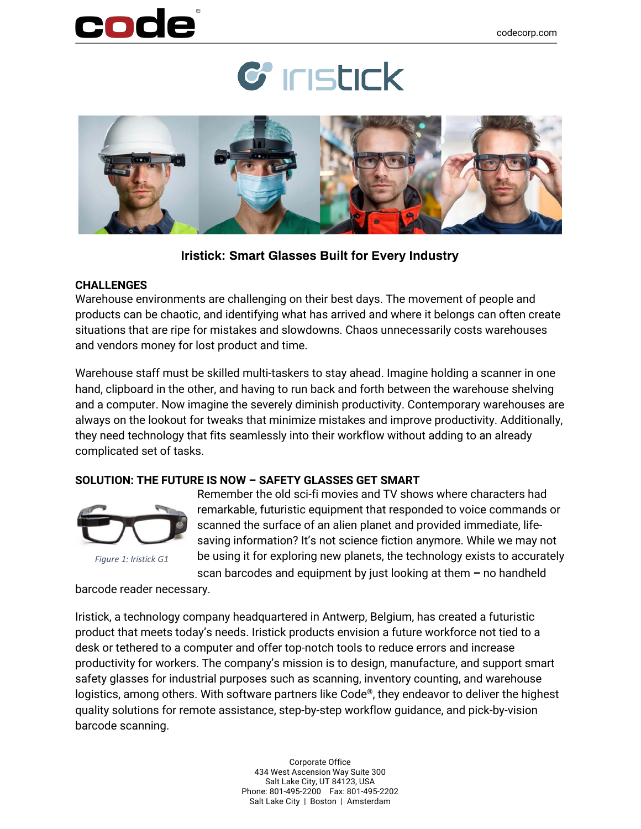# code





**Iristick: Smart Glasses Built for Every Industry**

#### **CHALLENGES**

Warehouse environments are challenging on their best days. The movement of people and products can be chaotic, and identifying what has arrived and where it belongs can often create situations that are ripe for mistakes and slowdowns. Chaos unnecessarily costs warehouses and vendors money for lost product and time.

Warehouse staff must be skilled multi-taskers to stay ahead. Imagine holding a scanner in one hand, clipboard in the other, and having to run back and forth between the warehouse shelving and a computer. Now imagine the severely diminish productivity. Contemporary warehouses are always on the lookout for tweaks that minimize mistakes and improve productivity. Additionally, they need technology that fits seamlessly into their workflow without adding to an already complicated set of tasks.

### **SOLUTION: THE FUTURE IS NOW – SAFETY GLASSES GET SMART**



Remember the old sci-fi movies and TV shows where characters had remarkable, futuristic equipment that responded to voice commands or scanned the surface of an alien planet and provided immediate, lifesaving information? It's not science fiction anymore. While we may not be using it for exploring new planets, the technology exists to accurately scan barcodes and equipment by just looking at them **–** no handheld

barcode reader necessary.

Iristick, a technology company headquartered in Antwerp, Belgium, has created a futuristic product that meets today's needs. Iristick products envision a future workforce not tied to a desk or tethered to a computer and offer top-notch tools to reduce errors and increase productivity for workers. The company's mission is to design, manufacture, and support smart safety glasses for industrial purposes such as scanning, inventory counting, and warehouse logistics, among others. With software partners like Code®, they endeavor to deliver the highest quality solutions for remote assistance, step-by-step workflow guidance, and pick-by-vision barcode scanning.

> Corporate Office 434 West Ascension Way Suite 300 Salt Lake City, UT 84123, USA Phone: 801-495-2200 Fax: 801-495-2202 Salt Lake City | Boston | Amsterdam